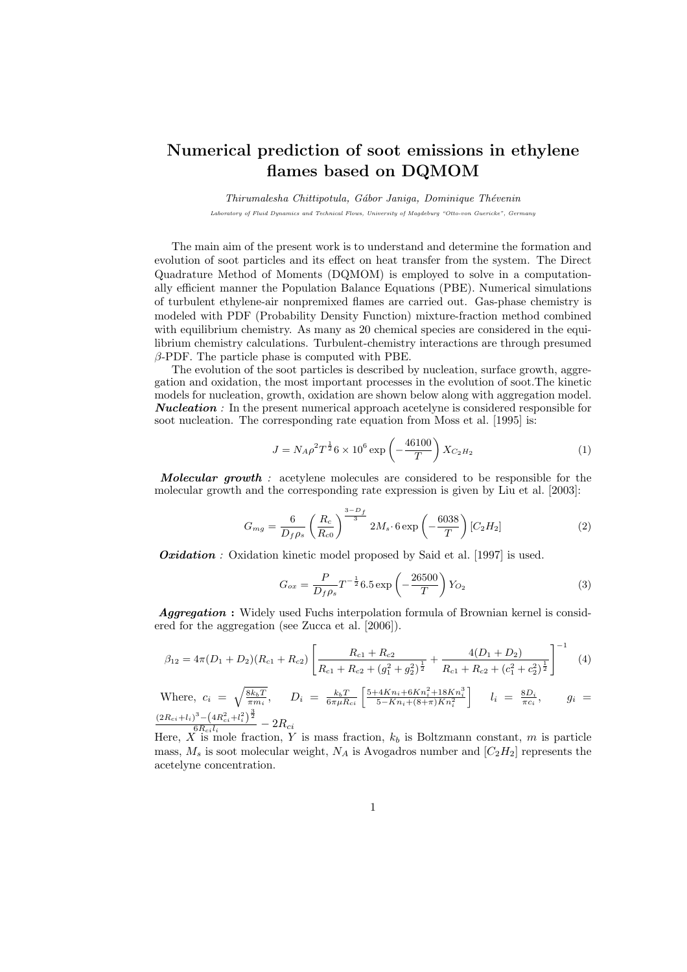#### Numerical prediction of soot emissions in ethylene flames based on DQMOM

Thirumalesha Chittipotula, Gábor Janiga, Dominique Thévenin Laboratory of Fluid Dynamics and Technical Flows, University of Magdeburg "Otto-von Guericke", Germany

The main aim of the present work is to understand and determine the formation and evolution of soot particles and its effect on heat transfer from the system. The Direct Quadrature Method of Moments (DQMOM) is employed to solve in a computationally efficient manner the Population Balance Equations (PBE). Numerical simulations of turbulent ethylene-air nonpremixed flames are carried out. Gas-phase chemistry is modeled with PDF (Probability Density Function) mixture-fraction method combined with equilibrium chemistry. As many as 20 chemical species are considered in the equilibrium chemistry calculations. Turbulent-chemistry interactions are through presumed  $\beta$ -PDF. The particle phase is computed with PBE.

The evolution of the soot particles is described by nucleation, surface growth, aggregation and oxidation, the most important processes in the evolution of soot.The kinetic models for nucleation, growth, oxidation are shown below along with aggregation model. **Nucleation**: In the present numerical approach acetelyne is considered responsible for soot nucleation. The corresponding rate equation from Moss et al. [1995] is:

$$
J = N_A \rho^2 T^{\frac{1}{2}} 6 \times 10^6 \exp\left(-\frac{46100}{T}\right) X_{C_2 H_2}
$$
 (1)

Molecular growth : acetylene molecules are considered to be responsible for the molecular growth and the corresponding rate expression is given by Liu et al. [2003]:

$$
G_{mg} = \frac{6}{D_f \rho_s} \left(\frac{R_c}{R_{c0}}\right)^{\frac{3-D_f}{3}} 2M_s \cdot 6 \exp\left(-\frac{6038}{T}\right) [C_2 H_2]
$$
 (2)

**Oxidation**: Oxidation kinetic model proposed by Said et al. [1997] is used.

$$
G_{ox} = \frac{P}{D_f \rho_s} T^{-\frac{1}{2}} 6.5 \exp\left(-\frac{26500}{T}\right) Y_{O_2}
$$
 (3)

Aggregation : Widely used Fuchs interpolation formula of Brownian kernel is considered for the aggregation (see Zucca et al. [2006]).

$$
\beta_{12} = 4\pi (D_1 + D_2)(R_{c1} + R_{c2}) \left[ \frac{R_{c1} + R_{c2}}{R_{c1} + R_{c2} + (g_1^2 + g_2^2)^{\frac{1}{2}}} + \frac{4(D_1 + D_2)}{R_{c1} + R_{c2} + (c_1^2 + c_2^2)^{\frac{1}{2}}} \right]^{-1}
$$
(4)

Where,  $c_i = \sqrt{\frac{8k_bT}{\pi m_i}}$ ,  $D_i = \frac{k_bT}{6\pi\mu R_{ci}} \left[ \frac{5+4Kn_i+6Kn_i^2+18Kn_i^3}{5-Kn_i+(8+\pi)Kn_i^2} \right]$  $\left[ \frac{k_b T}{\sin^2 n}, \quad D_i \; = \; \frac{k_b T}{6 \pi \mu R_{ci}} \left[ \frac{5 + 4 K n_i + 6 K n_i^2 + 18 K n_i^3}{5 - K n_i + (8 + \pi) K n_i^2} \right] \quad \; l_i \; = \; \frac{8 D_i}{\pi c_i}$  $g_i =$  $(2R_{ci}+l_i)^3-(4R_{ci}^2+l_i^2)^{\frac{3}{2}}$  $\frac{10^{6}-\left(4R_{ci}^{2}+l_{i}^{2}\right){}^{2}}{6R_{ci}l_{i}}-2R_{ci}$ 

Here, X is mole fraction, Y is mass fraction,  $k_b$  is Boltzmann constant, m is particle mass,  $M_s$  is soot molecular weight,  $N_A$  is Avogadros number and  $[C_2H_2]$  represents the acetelyne concentration.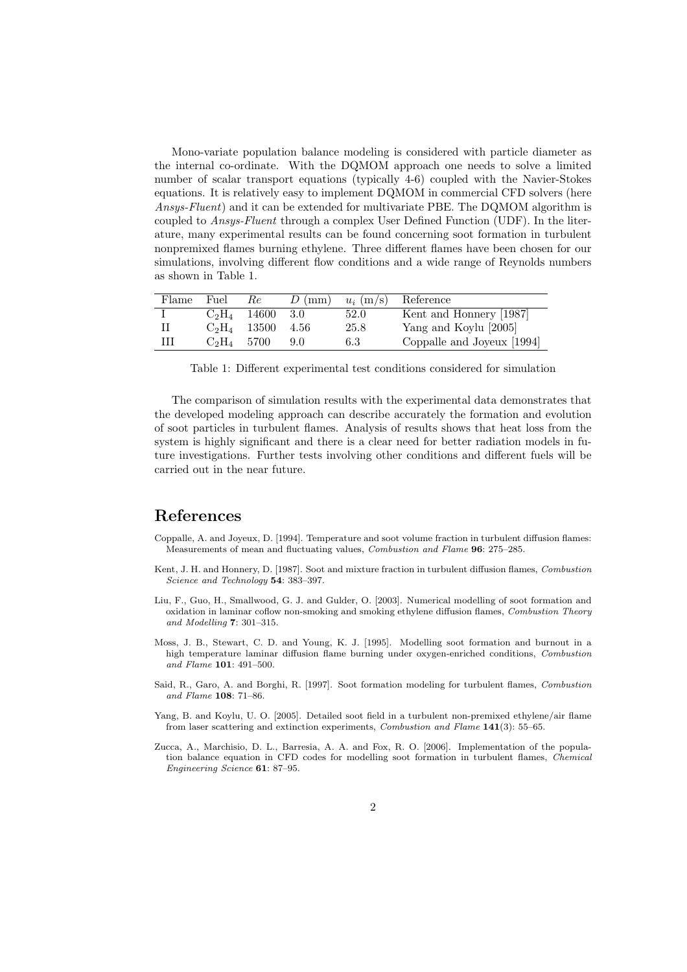Mono-variate population balance modeling is considered with particle diameter as the internal co-ordinate. With the DQMOM approach one needs to solve a limited number of scalar transport equations (typically 4-6) coupled with the Navier-Stokes equations. It is relatively easy to implement DQMOM in commercial CFD solvers (here Ansys-Fluent) and it can be extended for multivariate PBE. The DQMOM algorithm is coupled to Ansys-Fluent through a complex User Defined Function (UDF). In the literature, many experimental results can be found concerning soot formation in turbulent nonpremixed flames burning ethylene. Three different flames have been chosen for our simulations, involving different flow conditions and a wide range of Reynolds numbers as shown in Table 1.

| Flame | Fuel          | Rе             | $D$ (mm) | $u_i$ (m/s) | Reference                  |
|-------|---------------|----------------|----------|-------------|----------------------------|
|       |               | $C_2H_4$ 14600 | -3.0     | 52.0        | Kent and Honnery [1987]    |
|       |               | $C_2H_4$ 13500 | - 4.56   | 25.8        | Yang and Koylu [2005]      |
| Ш     | $C_2H_4$ 5700 |                | 9.0      | 6.3         | Coppalle and Joyeux [1994] |

Table 1: Different experimental test conditions considered for simulation

The comparison of simulation results with the experimental data demonstrates that the developed modeling approach can describe accurately the formation and evolution of soot particles in turbulent flames. Analysis of results shows that heat loss from the system is highly significant and there is a clear need for better radiation models in future investigations. Further tests involving other conditions and different fuels will be carried out in the near future.

#### References

- Coppalle, A. and Joyeux, D. [1994]. Temperature and soot volume fraction in turbulent diffusion flames: Measurements of mean and fluctuating values, Combustion and Flame 96: 275–285.
- Kent, J. H. and Honnery, D. [1987]. Soot and mixture fraction in turbulent diffusion flames, Combustion Science and Technology 54: 383-397.
- Liu, F., Guo, H., Smallwood, G. J. and Gulder, O. [2003]. Numerical modelling of soot formation and oxidation in laminar coflow non-smoking and smoking ethylene diffusion flames, Combustion Theory and Modelling 7: 301–315.
- Moss, J. B., Stewart, C. D. and Young, K. J. [1995]. Modelling soot formation and burnout in a high temperature laminar diffusion flame burning under oxygen-enriched conditions, Combustion and Flame 101: 491–500.
- Said, R., Garo, A. and Borghi, R. [1997]. Soot formation modeling for turbulent flames, Combustion and Flame 108: 71–86.
- Yang, B. and Koylu, U. O. [2005]. Detailed soot field in a turbulent non-premixed ethylene/air flame from laser scattering and extinction experiments, Combustion and Flame 141(3): 55–65.
- Zucca, A., Marchisio, D. L., Barresia, A. A. and Fox, R. O. [2006]. Implementation of the population balance equation in CFD codes for modelling soot formation in turbulent flames, Chemical Engineering Science 61: 87–95.